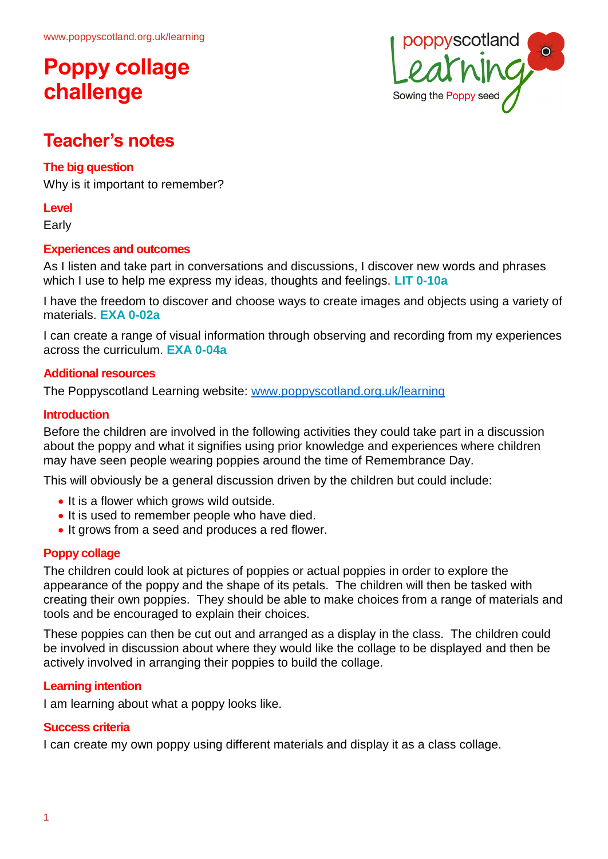# **Poppy collage challenge**



### **Teacher's notes**

#### **The big question**

Why is it important to remember?

#### **Level**

Early

#### **Experiences and outcomes**

As I listen and take part in conversations and discussions, I discover new words and phrases which I use to help me express my ideas, thoughts and feelings. **LIT 0-10a**

I have the freedom to discover and choose ways to create images and objects using a variety of materials. **EXA 0-02a**

I can create a range of visual information through observing and recording from my experiences across the curriculum. **EXA 0-04a**

#### **Additional resources**

The Poppyscotland Learning website: [www.poppyscotland.org.uk/learning](http://www.poppyscotland.org.uk/learning)

#### **Introduction**

Before the children are involved in the following activities they could take part in a discussion about the poppy and what it signifies using prior knowledge and experiences where children may have seen people wearing poppies around the time of Remembrance Day.

This will obviously be a general discussion driven by the children but could include:

- It is a flower which grows wild outside.
- It is used to remember people who have died.
- It grows from a seed and produces a red flower.

#### **Poppy collage**

The children could look at pictures of poppies or actual poppies in order to explore the appearance of the poppy and the shape of its petals. The children will then be tasked with creating their own poppies. They should be able to make choices from a range of materials and tools and be encouraged to explain their choices.

These poppies can then be cut out and arranged as a display in the class. The children could be involved in discussion about where they would like the collage to be displayed and then be actively involved in arranging their poppies to build the collage.

#### **Learning intention**

I am learning about what a poppy looks like.

#### **Success criteria**

I can create my own poppy using different materials and display it as a class collage.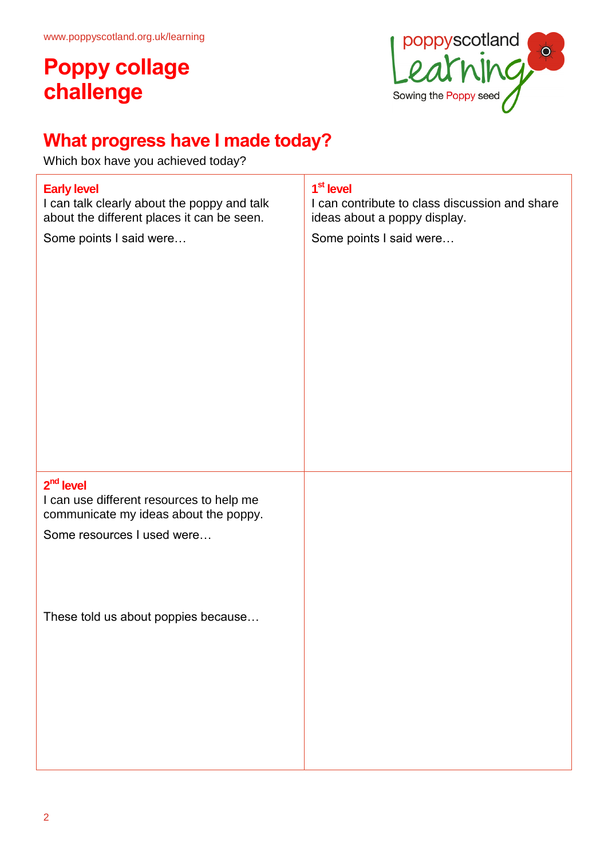# **Poppy collage challenge**



## **What progress have I made today?**

Which box have you achieved today?

### **Early level**

I can talk clearly about the poppy and talk about the different places it can be seen.

Some points I said were…

#### **1 st level**

I can contribute to class discussion and share ideas about a poppy display.

Some points I said were…

### **2 nd level**

I can use different resources to help me communicate my ideas about the poppy.

Some resources I used were…

These told us about poppies because…